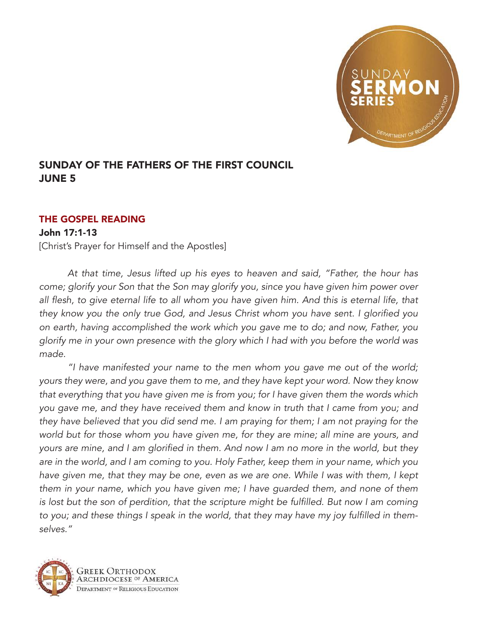

## SUNDAY OF THE FATHERS OF THE FIRST COUNCIL JUNE 5

## THE GOSPEL READING

## John 17:1-13

[Christ's Prayer for Himself and the Apostles]

*At that time, Jesus lifted up his eyes to heaven and said, "Father, the hour has come; glorify your Son that the Son may glorify you, since you have given him power over*  all flesh, to give eternal life to all whom you have given him. And this is eternal life, that they know you the only true God, and Jesus Christ whom you have sent. I glorified you *on earth, having accomplished the work which you gave me to do; and now, Father, you*  glorify me in your own presence with the glory which I had with you before the world was made.

"I have manifested your name to the men whom you gave me out of the world; yours they were, and you gave them to me, and they have kept your word. Now they know that everything that you have given me is from you; for I have given them the words which you gave me, and they have received them and know in truth that I came from you; and they have believed that you did send me. I am praying for them; I am not praying for the world but for those whom you have given me, for they are mine; all mine are yours, and yours are mine, and I am glorified in them. And now I am no more in the world, but they are in the world, and I am coming to you. Holy Father, keep them in your name, which you have given me, that they may be one, even as we are one. While I was with them, I kept them in your name, which you have given me; I have guarded them, and none of them is lost but the son of perdition, that the scripture might be fulfilled. But now I am coming to you; and these things I speak in the world, that they may have my joy fulfilled in themselves."

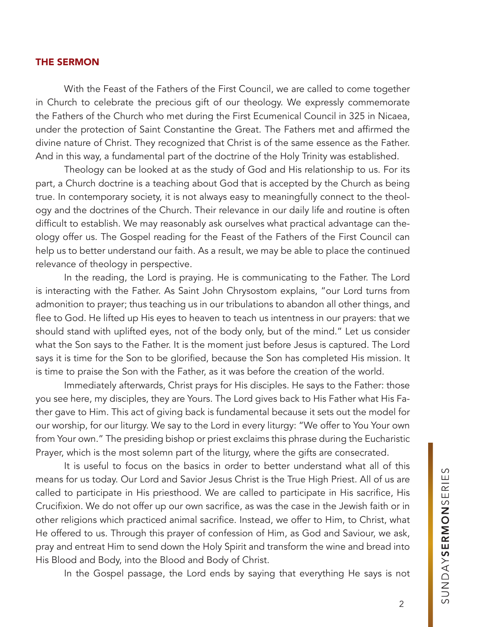## THE SERMON

With the Feast of the Fathers of the First Council, we are called to come together in Church to celebrate the precious gift of our theology. We expressly commemorate the Fathers of the Church who met during the First Ecumenical Council in 325 in Nicaea, under the protection of Saint Constantine the Great. The Fathers met and affirmed the divine nature of Christ. They recognized that Christ is of the same essence as the Father. And in this way, a fundamental part of the doctrine of the Holy Trinity was established.

Theology can be looked at as the study of God and His relationship to us. For its part, a Church doctrine is a teaching about God that is accepted by the Church as being true. In contemporary society, it is not always easy to meaningfully connect to the theology and the doctrines of the Church. Their relevance in our daily life and routine is often difficult to establish. We may reasonably ask ourselves what practical advantage can theology offer us. The Gospel reading for the Feast of the Fathers of the First Council can help us to better understand our faith. As a result, we may be able to place the continued relevance of theology in perspective.

In the reading, the Lord is praying. He is communicating to the Father. The Lord is interacting with the Father. As Saint John Chrysostom explains, "our Lord turns from admonition to prayer; thus teaching us in our tribulations to abandon all other things, and flee to God. He lifted up His eyes to heaven to teach us intentness in our prayers: that we should stand with uplifted eyes, not of the body only, but of the mind." Let us consider what the Son says to the Father. It is the moment just before Jesus is captured. The Lord says it is time for the Son to be glorified, because the Son has completed His mission. It is time to praise the Son with the Father, as it was before the creation of the world.

Immediately afterwards, Christ prays for His disciples. He says to the Father: those you see here, my disciples, they are Yours. The Lord gives back to His Father what His Father gave to Him. This act of giving back is fundamental because it sets out the model for our worship, for our liturgy. We say to the Lord in every liturgy: "We offer to You Your own from Your own." The presiding bishop or priest exclaims this phrase during the Eucharistic Prayer, which is the most solemn part of the liturgy, where the gifts are consecrated.

It is useful to focus on the basics in order to better understand what all of this means for us today. Our Lord and Savior Jesus Christ is the True High Priest. All of us are called to participate in His priesthood. We are called to participate in His sacrifice, His Crucifixion. We do not offer up our own sacrifice, as was the case in the Jewish faith or in other religions which practiced animal sacrifice. Instead, we offer to Him, to Christ, what He offered to us. Through this prayer of confession of Him, as God and Saviour, we ask, pray and entreat Him to send down the Holy Spirit and transform the wine and bread into His Blood and Body, into the Blood and Body of Christ.

In the Gospel passage, the Lord ends by saying that everything He says is not